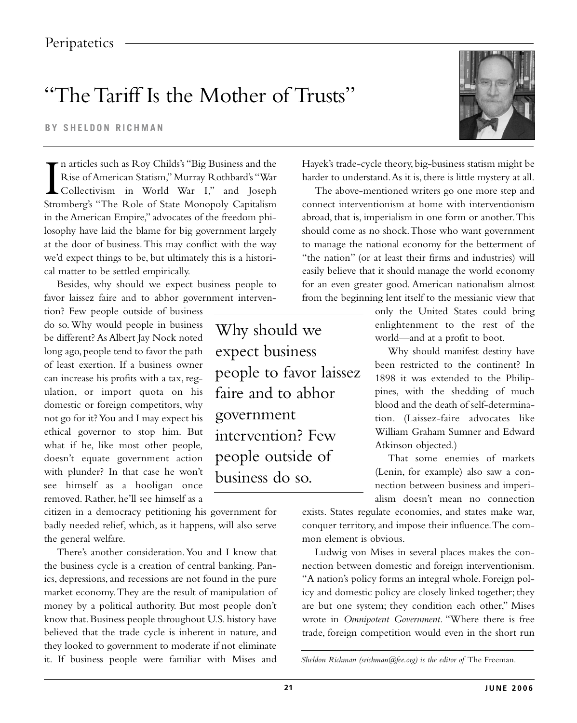## "The Tariff Is the Mother of Trusts"

**BY SHELDON RICHMAN** 

In articles such as Roy Childs's "Big Business and the Hayek's trade-cycle theory, big-business statism might be Rise of American Statism," Murray Rothbard's "War harder to understand. As it is, there is little mystery at Collectivism in World War I," and Joseph The above-mentioned writers go one more step and in the American Empire," advocates of the freedom phi- abroad, that is, imperialism in one form or another.This losophy have laid the blame for big government largely should come as no shock.Those who want government at the door of business.This may conflict with the way to manage the national economy for the betterment of we'd expect things to be, but ultimately this is a histori- "the nation" (or at least their firms and industries) will cal matter to be settled empirically. easily believe that it should manage the world economy

be different? As Albert Jay Nock noted long ago, people tend to favor the path expect business Why should manifest destiny have<br>of least exertion. If a business owner domestic or foreign competitors, why<br>not go for it? You and I may expect his government what if he, like most other people, doesn't equate government action people outside of That some enemies of markets removed. Rather, he'll see himself as a

citizen in a democracy petitioning his government for badly needed relief, which, as it happens, will also serve the general welfare.

There's another consideration.You and I know that the business cycle is a creation of central banking. Panics, depressions, and recessions are not found in the pure market economy.They are the result of manipulation of money by a political authority. But most people don't know that. Business people throughout U.S. history have believed that the trade cycle is inherent in nature, and they looked to government to moderate if not eliminate it. If business people were familiar with Mises and



n articles such as Roy Childs's "Big Business and the Hayek's trade-cycle theory, big-business statism might be Rise of American Statism,"Murray Rothbard's "War harder to understand.As it is, there is little mystery at all.

Besides, why should we expect business people to for an even greater good. American nationalism almost favor laissez faire and to abhor government interven- from the beginning lent itself to the messianic view that

tion? Few people outside of business only the United States could bring do so. Why would people in business **Why should we** enlightenment to the rest of the be different? As Albert Jay Nock noted **Why should** We world—and at a profit to boot.

been restricted to the continent? In can increase his profits with a tax, reg-<br>can increase his profits with a tax, reg-<br> $\frac{1898 \text{ it was extended to the Philip-} }{200}$ ulation, or import quota on his **faire and to abhor** pines, with the shedding of much domestic or foreign competitors why not go for it? You and I may expect his government tion. (Laissez-faire advocates like ethical governor to stop him. But intervention? Few William Graham Sumner and Edward what if he, like most other people, Atkinson objected.)

with plunder? In that case he won't **business do so.** (Lenin, for example) also saw a con-<br>see himself as a hooligan once **business do so.** (Lenin, for example) also saw a conalism doesn't mean no connection

> exists. States regulate economies, and states make war, conquer territory, and impose their influence.The common element is obvious.

> Ludwig von Mises in several places makes the connection between domestic and foreign interventionism. "A nation's policy forms an integral whole. Foreign policy and domestic policy are closely linked together; they are but one system; they condition each other," Mises wrote in *Omnipotent Government*. "Where there is free trade, foreign competition would even in the short run

*Sheldon Richman (srichman@fee.org) is the editor of* The Freeman.